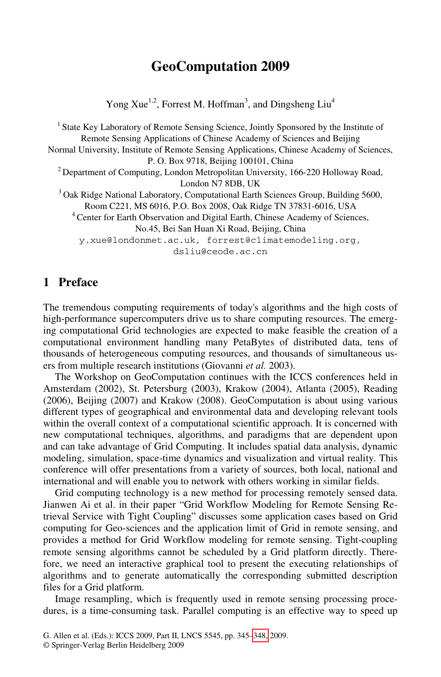## **GeoComputation 2009**

Yong Xue<sup>1,2</sup>, Forrest M. Hoffman<sup>3</sup>, and Dingsheng Liu<sup>4</sup>

<sup>1</sup> State Key Laboratory of Remote Sensing Science, Jointly Sponsored by the Institute of Remote Sensing Applications of Chinese Academy of Sciences and Beijing Normal University, Institute of Remote Sensing Applications, Chinese Academy of Sciences, P. O. Box 9718, Beijing 100101, China <sup>2</sup> Department of Computing, London Metropolitan University, 166-220 Holloway Road, <sup>3</sup> Oak Ridge National Laboratory, Computational Earth Sciences Group, Building 5600, Room C221, MS 6016, P.O. Box 2008, Oak Ridge TN 37831-6016, USA <sup>4</sup> Center for Earth Observation and Digital Earth, Chinese Academy of Sciences, No.45, Bei San Huan Xi Road, Beijing, China y.xue@londonmet.ac.uk, forrest@climatemodeling.org, dsliu@ceode.ac.cn

## **1 Preface**

The tremendous computing requirements of today's algorithms and the high costs of high-performance supercomputers drive us to share computing resources. The emerging computational Grid technologies are expected to make feasible the creation of a computational environment handling many PetaBytes of distributed data, tens of thousands of heterogeneous computing resources, and thousands of simultaneous users from multiple research institutions (Giovanni *et al.* 2003).

The Workshop on GeoComputation continues with the ICCS conferences held in Amsterdam (2002), St. Petersburg (2003), Krakow (2004), Atlanta (2005), Reading (2006), Beijing (2007) and Krakow (2008). GeoComputation is about using various different types of geographical and environmental data and developing relevant tools within the overall context of a computational scientific approach. It is concerned with new computational techniques, algorithms, and paradigms that are dependent upon and can take advantage of Grid Computing. It includes spatial data analysis, dynamic modeling, simulation, space-time dynamics and visualization and virtual reality. This conference will offer presentations from a variety of sources, both local, national and international and will enable you to network with others working in similar fields.

Grid computing technology is a new method for processing remotely sensed data. Jianwen Ai et al. in their paper "Grid Workflow Modeling for Remote Sensing Retrieval Service with Tight Coupling" discusses some application cases based on Grid computing for Geo-sciences and the application limit of Grid in remote sensing, and provides a method for Grid Workflow modeling for remote sensing. Tight-coupling remote sensing algorithms cannot be scheduled by a Grid platform directly. Therefore, we need an interactive graphical tool to present the executing relationships of algorithms and to generate automatically the corresponding submitted description files for a Grid platform.

Image resampling, which is frequently used in remote sensing processing procedures, is a time-consuming task. Parallel computing is an effective way to speed up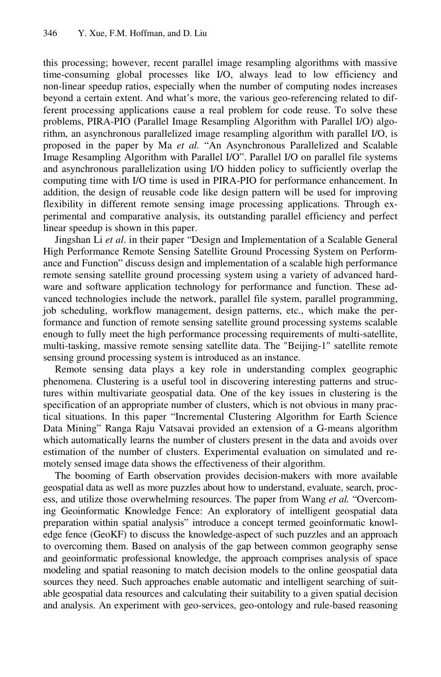this processing; however, recent parallel image resampling algorithms with massive time-consuming global processes like I/O, always lead to low efficiency and non-linear speedup ratios, especially when the number of computing nodes increases beyond a certain extent. And what's more, the various geo-referencing related to different processing applications cause a real problem for code reuse. To solve these problems, PIRA-PIO (Parallel Image Resampling Algorithm with Parallel I/O) algorithm, an asynchronous parallelized image resampling algorithm with parallel I/O, is proposed in the paper by Ma *et al.* "An Asynchronous Parallelized and Scalable Image Resampling Algorithm with Parallel I/O". Parallel I/O on parallel file systems and asynchronous parallelization using I/O hidden policy to sufficiently overlap the computing time with I/O time is used in PIRA-PIO for performance enhancement. In addition, the design of reusable code like design pattern will be used for improving flexibility in different remote sensing image processing applications. Through experimental and comparative analysis, its outstanding parallel efficiency and perfect linear speedup is shown in this paper.

Jingshan Li *et al*. in their paper "Design and Implementation of a Scalable General High Performance Remote Sensing Satellite Ground Processing System on Performance and Function" discuss design and implementation of a scalable high performance remote sensing satellite ground processing system using a variety of advanced hardware and software application technology for performance and function. These advanced technologies include the network, parallel file system, parallel programming, job scheduling, workflow management, design patterns, etc., which make the performance and function of remote sensing satellite ground processing systems scalable enough to fully meet the high performance processing requirements of multi-satellite, multi-tasking, massive remote sensing satellite data. The "Beijing-1" satellite remote sensing ground processing system is introduced as an instance.

Remote sensing data plays a key role in understanding complex geographic phenomena. Clustering is a useful tool in discovering interesting patterns and structures within multivariate geospatial data. One of the key issues in clustering is the specification of an appropriate number of clusters, which is not obvious in many practical situations. In this paper "Incremental Clustering Algorithm for Earth Science Data Mining" Ranga Raju Vatsavai provided an extension of a G-means algorithm which automatically learns the number of clusters present in the data and avoids over estimation of the number of clusters. Experimental evaluation on simulated and remotely sensed image data shows the effectiveness of their algorithm.

The booming of Earth observation provides decision-makers with more available geospatial data as well as more puzzles about how to understand, evaluate, search, process, and utilize those overwhelming resources. The paper from Wang *et al.* "Overcoming Geoinformatic Knowledge Fence: An exploratory of intelligent geospatial data preparation within spatial analysis" introduce a concept termed geoinformatic knowledge fence (GeoKF) to discuss the knowledge-aspect of such puzzles and an approach to overcoming them. Based on analysis of the gap between common geography sense and geoinformatic professional knowledge, the approach comprises analysis of space modeling and spatial reasoning to match decision models to the online geospatial data sources they need. Such approaches enable automatic and intelligent searching of suitable geospatial data resources and calculating their suitability to a given spatial decision and analysis. An experiment with geo-services, geo-ontology and rule-based reasoning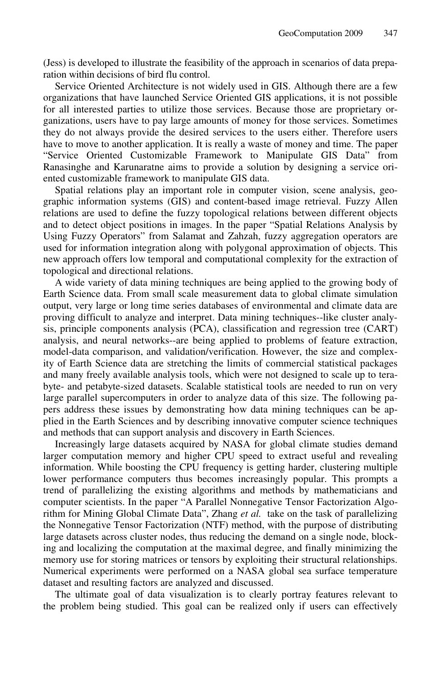(Jess) is developed to illustrate the feasibility of the approach in scenarios of data preparation within decisions of bird flu control.

Service Oriented Architecture is not widely used in GIS. Although there are a few organizations that have launched Service Oriented GIS applications, it is not possible for all interested parties to utilize those services. Because those are proprietary organizations, users have to pay large amounts of money for those services. Sometimes they do not always provide the desired services to the users either. Therefore users have to move to another application. It is really a waste of money and time. The paper "Service Oriented Customizable Framework to Manipulate GIS Data" from Ranasinghe and Karunaratne aims to provide a solution by designing a service oriented customizable framework to manipulate GIS data.

Spatial relations play an important role in computer vision, scene analysis, geographic information systems (GIS) and content-based image retrieval. Fuzzy Allen relations are used to define the fuzzy topological relations between different objects and to detect object positions in images. In the paper "Spatial Relations Analysis by Using Fuzzy Operators" from Salamat and Zahzah, fuzzy aggregation operators are used for information integration along with polygonal approximation of objects. This new approach offers low temporal and computational complexity for the extraction of topological and directional relations.

A wide variety of data mining techniques are being applied to the growing body of Earth Science data. From small scale measurement data to global climate simulation output, very large or long time series databases of environmental and climate data are proving difficult to analyze and interpret. Data mining techniques--like cluster analysis, principle components analysis (PCA), classification and regression tree (CART) analysis, and neural networks--are being applied to problems of feature extraction, model-data comparison, and validation/verification. However, the size and complexity of Earth Science data are stretching the limits of commercial statistical packages and many freely available analysis tools, which were not designed to scale up to terabyte- and petabyte-sized datasets. Scalable statistical tools are needed to run on very large parallel supercomputers in order to analyze data of this size. The following papers address these issues by demonstrating how data mining techniques can be applied in the Earth Sciences and by describing innovative computer science techniques and methods that can support analysis and discovery in Earth Sciences.

Increasingly large datasets acquired by NASA for global climate studies demand larger computation memory and higher CPU speed to extract useful and revealing information. While boosting the CPU frequency is getting harder, clustering multiple lower performance computers thus becomes increasingly popular. This prompts a trend of parallelizing the existing algorithms and methods by mathematicians and computer scientists. In the paper "A Parallel Nonnegative Tensor Factorization Algorithm for Mining Global Climate Data", Zhang *et al.* take on the task of parallelizing the Nonnegative Tensor Factorization (NTF) method, with the purpose of distributing large datasets across cluster nodes, thus reducing the demand on a single node, blocking and localizing the computation at the maximal degree, and finally minimizing the memory use for storing matrices or tensors by exploiting their structural relationships. Numerical experiments were performed on a NASA global sea surface temperature dataset and resulting factors are analyzed and discussed.

The ultimate goal of data visualization is to clearly portray features relevant to the problem being studied. This goal can be realized only if users can effectively